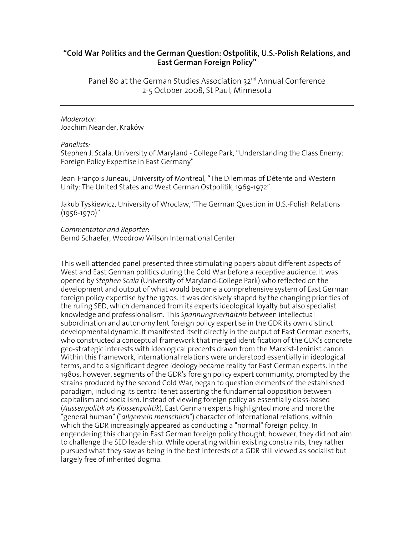## **"Cold War Politics and the German Question: Ostpolitik, U.S.-Polish Relations, and East German Foreign Policy"**

Panel 80 at the German Studies Association 32<sup>nd</sup> Annual Conference 2-5 October 2008, St Paul, Minnesota

## *Moderator:*  Joachim Neander, Kraków

## *Panelists:*

Stephen J. Scala, University of Maryland - College Park, "Understanding the Class Enemy: Foreign Policy Expertise in East Germany"

Jean-François Juneau, University of Montreal, "The Dilemmas of Détente and Western Unity: The United States and West German Ostpolitik, 1969-1972"

Jakub Tyskiewicz, University of Wroclaw, "The German Question in U.S.-Polish Relations (1956-1970)"

## *Commentator and Reporter*:

Bernd Schaefer, Woodrow Wilson International Center

This well-attended panel presented three stimulating papers about different aspects of West and East German politics during the Cold War before a receptive audience. It was opened by *Stephen Scala* (University of Maryland-College Park) who reflected on the development and output of what would become a comprehensive system of East German foreign policy expertise by the 1970s. It was decisively shaped by the changing priorities of the ruling SED, which demanded from its experts ideological loyalty but also specialist knowledge and professionalism. This *Spannungsverhältnis* between intellectual subordination and autonomy lent foreign policy expertise in the GDR its own distinct developmental dynamic. It manifested itself directly in the output of East German experts, who constructed a conceptual framework that merged identification of the GDR's concrete geo-strategic interests with ideological precepts drawn from the Marxist-Leninist canon. Within this framework, international relations were understood essentially in ideological terms, and to a significant degree ideology became reality for East German experts. In the 1980s, however, segments of the GDR's foreign policy expert community, prompted by the strains produced by the second Cold War, began to question elements of the established paradigm, including its central tenet asserting the fundamental opposition between capitalism and socialism. Instead of viewing foreign policy as essentially class-based (*Aussenpolitik als Klassenpolitik*), East German experts highlighted more and more the "general human" ("*allgemein menschlich*") character of international relations, within which the GDR increasingly appeared as conducting a "normal" foreign policy. In engendering this change in East German foreign policy thought, however, they did not aim to challenge the SED leadership. While operating within existing constraints, they rather pursued what they saw as being in the best interests of a GDR still viewed as socialist but largely free of inherited dogma.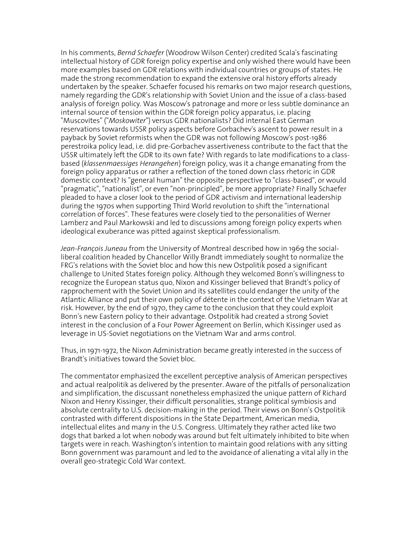In his comments, *Bernd Schaefer* (Woodrow Wilson Center) credited Scala's fascinating intellectual history of GDR foreign policy expertise and only wished there would have been more examples based on GDR relations with individual countries or groups of states. He made the strong recommendation to expand the extensive oral history efforts already undertaken by the speaker. Schaefer focused his remarks on two major research questions, namely regarding the GDR's relationship with Soviet Union and the issue of a class-based analysis of foreign policy. Was Moscow's patronage and more or less subtle dominance an internal source of tension within the GDR foreign policy apparatus, i.e. placing "Muscovites" ("*Moskowiter*") versus GDR nationalists? Did internal East German reservations towards USSR policy aspects before Gorbachev's ascent to power result in a payback by Soviet reformists when the GDR was not following Moscow's post-1986 perestroika policy lead, i.e. did pre-Gorbachev assertiveness contribute to the fact that the USSR ultimately left the GDR to its own fate? With regards to late modifications to a classbased (*klassenmaessiges Herangehen*) foreign policy, was it a change emanating from the foreign policy apparatus or rather a reflection of the toned down class rhetoric in GDR domestic context? Is "general human" the opposite perspective to "class-based", or would "pragmatic", "nationalist", or even "non-principled", be more appropriate? Finally Schaefer pleaded to have a closer look to the period of GDR activism and international leadership during the 1970s when supporting Third World revolution to shift the "international correlation of forces". These features were closely tied to the personalities of Werner Lamberz and Paul Markowski and led to discussions among foreign policy experts when ideological exuberance was pitted against skeptical professionalism.

*Jean-François Juneau* from the University of Montreal described how in 1969 the socialliberal coalition headed by Chancellor Willy Brandt immediately sought to normalize the FRG's relations with the Soviet bloc and how this new Ostpolitik posed a significant challenge to United States foreign policy. Although they welcomed Bonn's willingness to recognize the European status quo, Nixon and Kissinger believed that Brandt's policy of rapprochement with the Soviet Union and its satellites could endanger the unity of the Atlantic Alliance and put their own policy of détente in the context of the Vietnam War at risk. However, by the end of 1970, they came to the conclusion that they could exploit Bonn's new Eastern policy to their advantage. Ostpolitik had created a strong Soviet interest in the conclusion of a Four Power Agreement on Berlin, which Kissinger used as leverage in US-Soviet negotiations on the Vietnam War and arms control.

Thus, in 1971-1972, the Nixon Administration became greatly interested in the success of Brandt's initiatives toward the Soviet bloc.

The commentator emphasized the excellent perceptive analysis of American perspectives and actual realpolitik as delivered by the presenter. Aware of the pitfalls of personalization and simplification, the discussant nonetheless emphasized the unique pattern of Richard Nixon and Henry Kissinger, their difficult personalities, strange political symbiosis and absolute centrality to U.S. decision-making in the period. Their views on Bonn's Ostpolitik contrasted with different dispositions in the State Department, American media, intellectual elites and many in the U.S. Congress. Ultimately they rather acted like two dogs that barked a lot when nobody was around but felt ultimately inhibited to bite when targets were in reach. Washington's intention to maintain good relations with any sitting Bonn government was paramount and led to the avoidance of alienating a vital ally in the overall geo-strategic Cold War context.